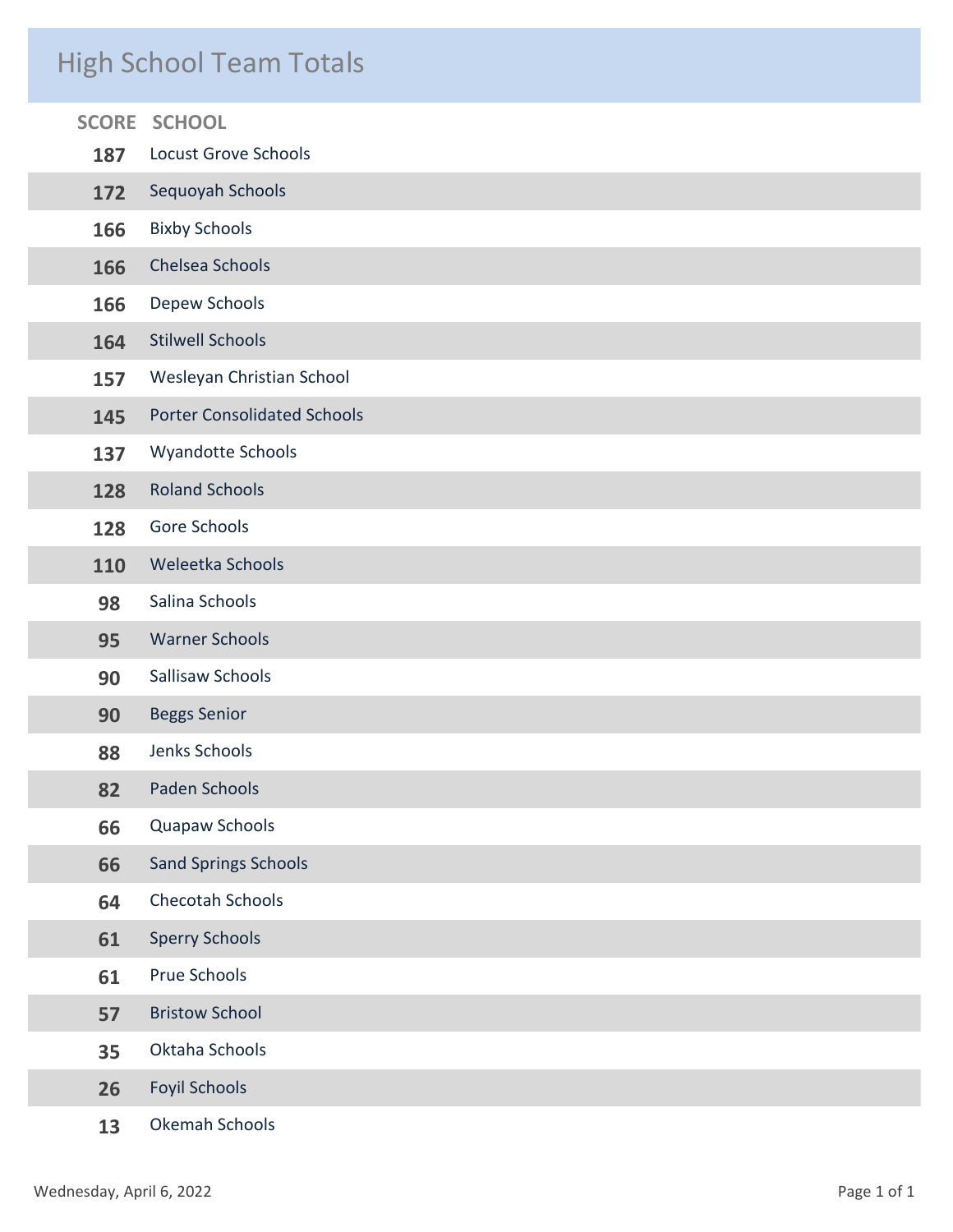## High School Team Totals

|                      | <b>SCORE SCHOOL</b>                |
|----------------------|------------------------------------|
| 187                  | <b>Locust Grove Schools</b>        |
| 172                  | Sequoyah Schools                   |
| 166                  | <b>Bixby Schools</b>               |
| 166                  | Chelsea Schools                    |
| Depew Schools<br>166 |                                    |
| 164                  | <b>Stilwell Schools</b>            |
| 157                  | Wesleyan Christian School          |
| 145                  | <b>Porter Consolidated Schools</b> |
| 137                  | Wyandotte Schools                  |
| 128                  | <b>Roland Schools</b>              |
| 128                  | Gore Schools                       |
| 110                  | Weleetka Schools                   |
| 98                   | Salina Schools                     |
| 95                   | <b>Warner Schools</b>              |
| 90                   | Sallisaw Schools                   |
| 90                   | <b>Beggs Senior</b>                |
| 88                   | Jenks Schools                      |
| 82                   | Paden Schools                      |
| 66                   | Quapaw Schools                     |
| 66                   | <b>Sand Springs Schools</b>        |
| 64                   | Checotah Schools                   |
| 61                   | <b>Sperry Schools</b>              |
| 61                   | Prue Schools                       |
| 57                   | <b>Bristow School</b>              |
| 35                   | Oktaha Schools                     |
| 26                   | <b>Foyil Schools</b>               |
| 13                   | Okemah Schools                     |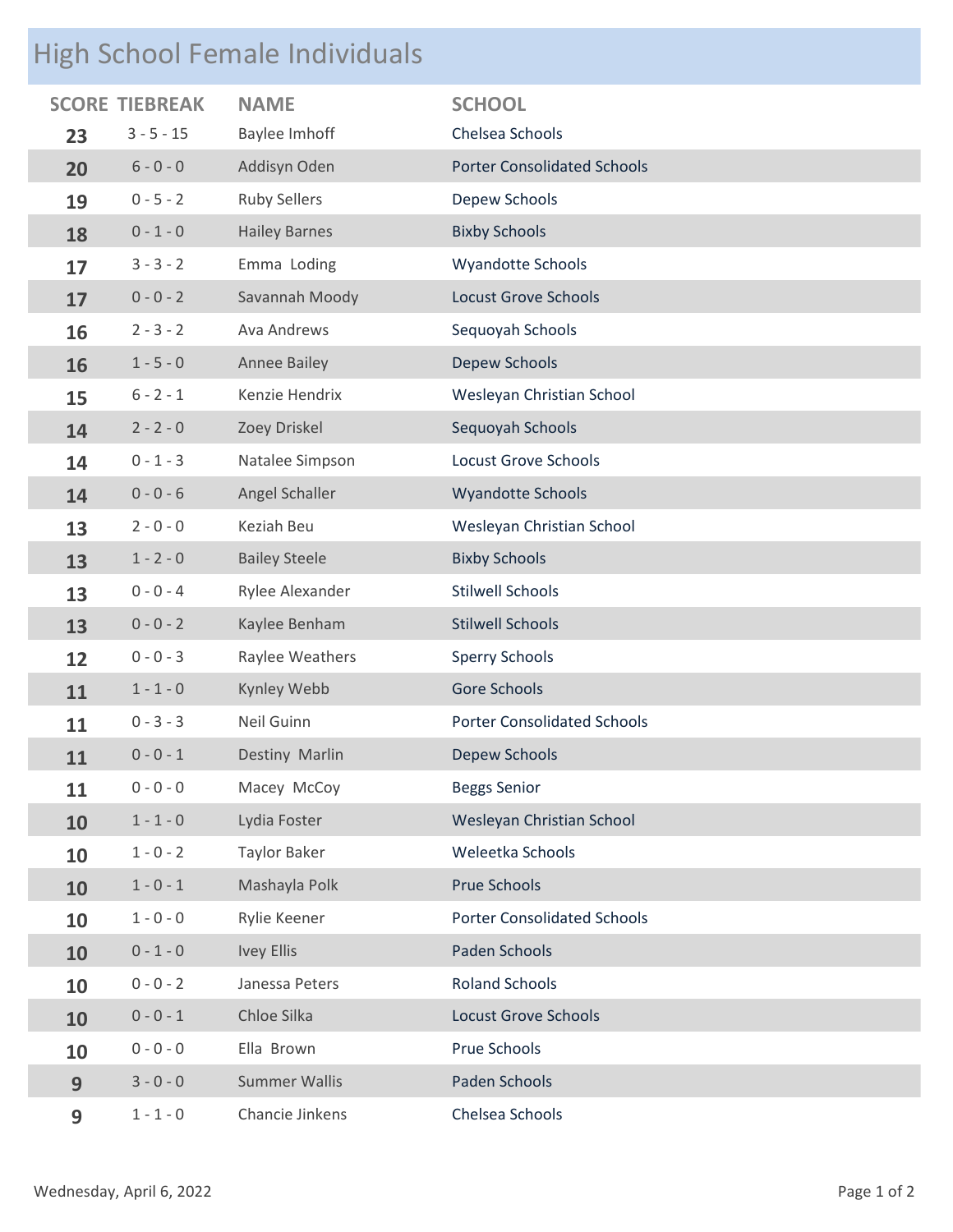# High School Female Individuals

|    | <b>SCORE TIEBREAK</b> | <b>NAME</b>          | <b>SCHOOL</b>                      |
|----|-----------------------|----------------------|------------------------------------|
| 23 | $3 - 5 - 15$          | Baylee Imhoff        | Chelsea Schools                    |
| 20 | $6 - 0 - 0$           | Addisyn Oden         | <b>Porter Consolidated Schools</b> |
| 19 | $0 - 5 - 2$           | <b>Ruby Sellers</b>  | Depew Schools                      |
| 18 | $0 - 1 - 0$           | <b>Hailey Barnes</b> | <b>Bixby Schools</b>               |
| 17 | $3 - 3 - 2$           | Emma Loding          | <b>Wyandotte Schools</b>           |
| 17 | $0 - 0 - 2$           | Savannah Moody       | <b>Locust Grove Schools</b>        |
| 16 | $2 - 3 - 2$           | Ava Andrews          | Sequoyah Schools                   |
| 16 | $1 - 5 - 0$           | Annee Bailey         | <b>Depew Schools</b>               |
| 15 | $6 - 2 - 1$           | Kenzie Hendrix       | Wesleyan Christian School          |
| 14 | $2 - 2 - 0$           | Zoey Driskel         | Sequoyah Schools                   |
| 14 | $0 - 1 - 3$           | Natalee Simpson      | <b>Locust Grove Schools</b>        |
| 14 | $0 - 0 - 6$           | Angel Schaller       | <b>Wyandotte Schools</b>           |
| 13 | $2 - 0 - 0$           | Keziah Beu           | Wesleyan Christian School          |
| 13 | $1 - 2 - 0$           | <b>Bailey Steele</b> | <b>Bixby Schools</b>               |
| 13 | $0 - 0 - 4$           | Rylee Alexander      | <b>Stilwell Schools</b>            |
| 13 | $0 - 0 - 2$           | Kaylee Benham        | <b>Stilwell Schools</b>            |
| 12 | $0 - 0 - 3$           | Raylee Weathers      | <b>Sperry Schools</b>              |
| 11 | $1 - 1 - 0$           | Kynley Webb          | Gore Schools                       |
| 11 | $0 - 3 - 3$           | Neil Guinn           | <b>Porter Consolidated Schools</b> |
| 11 | $0 - 0 - 1$           | Destiny Marlin       | Depew Schools                      |
| 11 | $0 - 0 - 0$           | Macey McCoy          | <b>Beggs Senior</b>                |
| 10 | $1 - 1 - 0$           | Lydia Foster         | Wesleyan Christian School          |
| 10 | $1 - 0 - 2$           | <b>Taylor Baker</b>  | Weleetka Schools                   |
| 10 | $1 - 0 - 1$           | Mashayla Polk        | <b>Prue Schools</b>                |
| 10 | $1 - 0 - 0$           | Rylie Keener         | <b>Porter Consolidated Schools</b> |
| 10 | $0 - 1 - 0$           | <b>Ivey Ellis</b>    | Paden Schools                      |
| 10 | $0 - 0 - 2$           | Janessa Peters       | <b>Roland Schools</b>              |
| 10 | $0 - 0 - 1$           | Chloe Silka          | <b>Locust Grove Schools</b>        |
| 10 | $0 - 0 - 0$           | Ella Brown           | Prue Schools                       |
| 9  | $3 - 0 - 0$           | <b>Summer Wallis</b> | Paden Schools                      |
| 9  | $1 - 1 - 0$           | Chancie Jinkens      | Chelsea Schools                    |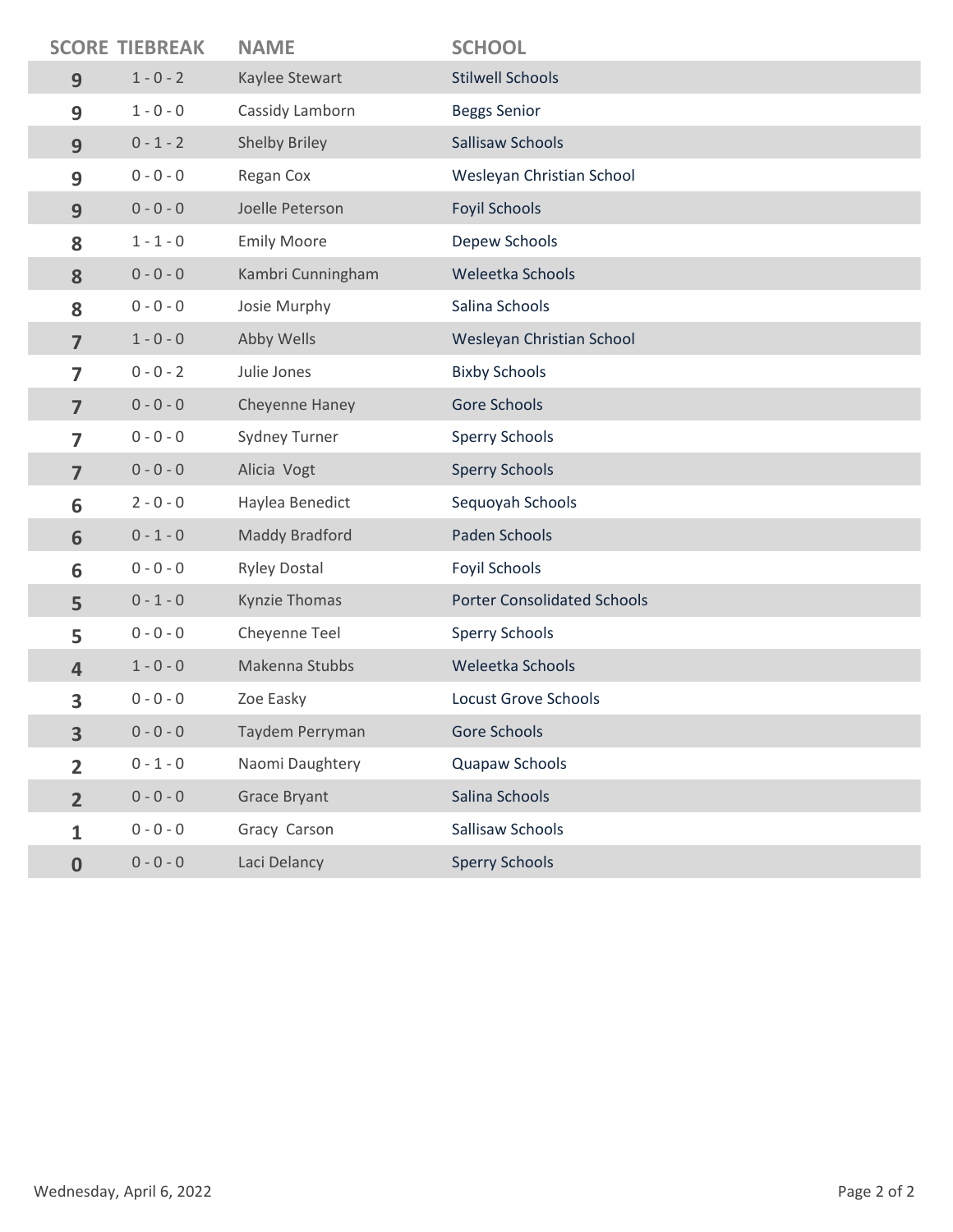|                | <b>SCORE TIEBREAK</b> | <b>NAME</b>          | <b>SCHOOL</b>                      |
|----------------|-----------------------|----------------------|------------------------------------|
| 9              | $1 - 0 - 2$           | Kaylee Stewart       | <b>Stilwell Schools</b>            |
| 9              | $1 - 0 - 0$           | Cassidy Lamborn      | <b>Beggs Senior</b>                |
| 9              | $0 - 1 - 2$           | Shelby Briley        | Sallisaw Schools                   |
| 9              | $0 - 0 - 0$           | Regan Cox            | Wesleyan Christian School          |
| 9              | $0 - 0 - 0$           | Joelle Peterson      | <b>Foyil Schools</b>               |
| 8              | $1 - 1 - 0$           | <b>Emily Moore</b>   | Depew Schools                      |
| 8              | $0 - 0 - 0$           | Kambri Cunningham    | Weleetka Schools                   |
| 8              | $0 - 0 - 0$           | Josie Murphy         | Salina Schools                     |
| $\overline{7}$ | $1 - 0 - 0$           | Abby Wells           | Wesleyan Christian School          |
| $\overline{7}$ | $0 - 0 - 2$           | Julie Jones          | <b>Bixby Schools</b>               |
| $\overline{7}$ | $0 - 0 - 0$           | Cheyenne Haney       | Gore Schools                       |
| $\overline{7}$ | $0 - 0 - 0$           | <b>Sydney Turner</b> | <b>Sperry Schools</b>              |
| $\overline{7}$ | $0 - 0 - 0$           | Alicia Vogt          | <b>Sperry Schools</b>              |
| 6              | $2 - 0 - 0$           | Haylea Benedict      | Sequoyah Schools                   |
| 6              | $0 - 1 - 0$           | Maddy Bradford       | Paden Schools                      |
| 6              | $0 - 0 - 0$           | <b>Ryley Dostal</b>  | <b>Foyil Schools</b>               |
| 5              | $0 - 1 - 0$           | Kynzie Thomas        | <b>Porter Consolidated Schools</b> |
| 5              | $0 - 0 - 0$           | Cheyenne Teel        | <b>Sperry Schools</b>              |
| $\overline{4}$ | $1 - 0 - 0$           | Makenna Stubbs       | Weleetka Schools                   |
| 3              | $0 - 0 - 0$           | Zoe Easky            | <b>Locust Grove Schools</b>        |
| 3              | $0 - 0 - 0$           | Taydem Perryman      | Gore Schools                       |
| $\overline{2}$ | $0 - 1 - 0$           | Naomi Daughtery      | Quapaw Schools                     |
| $\overline{2}$ | $0 - 0 - 0$           | <b>Grace Bryant</b>  | Salina Schools                     |
| $\mathbf{1}$   | $0 - 0 - 0$           | Gracy Carson         | Sallisaw Schools                   |
| $\bf{0}$       | $0 - 0 - 0$           | Laci Delancy         | <b>Sperry Schools</b>              |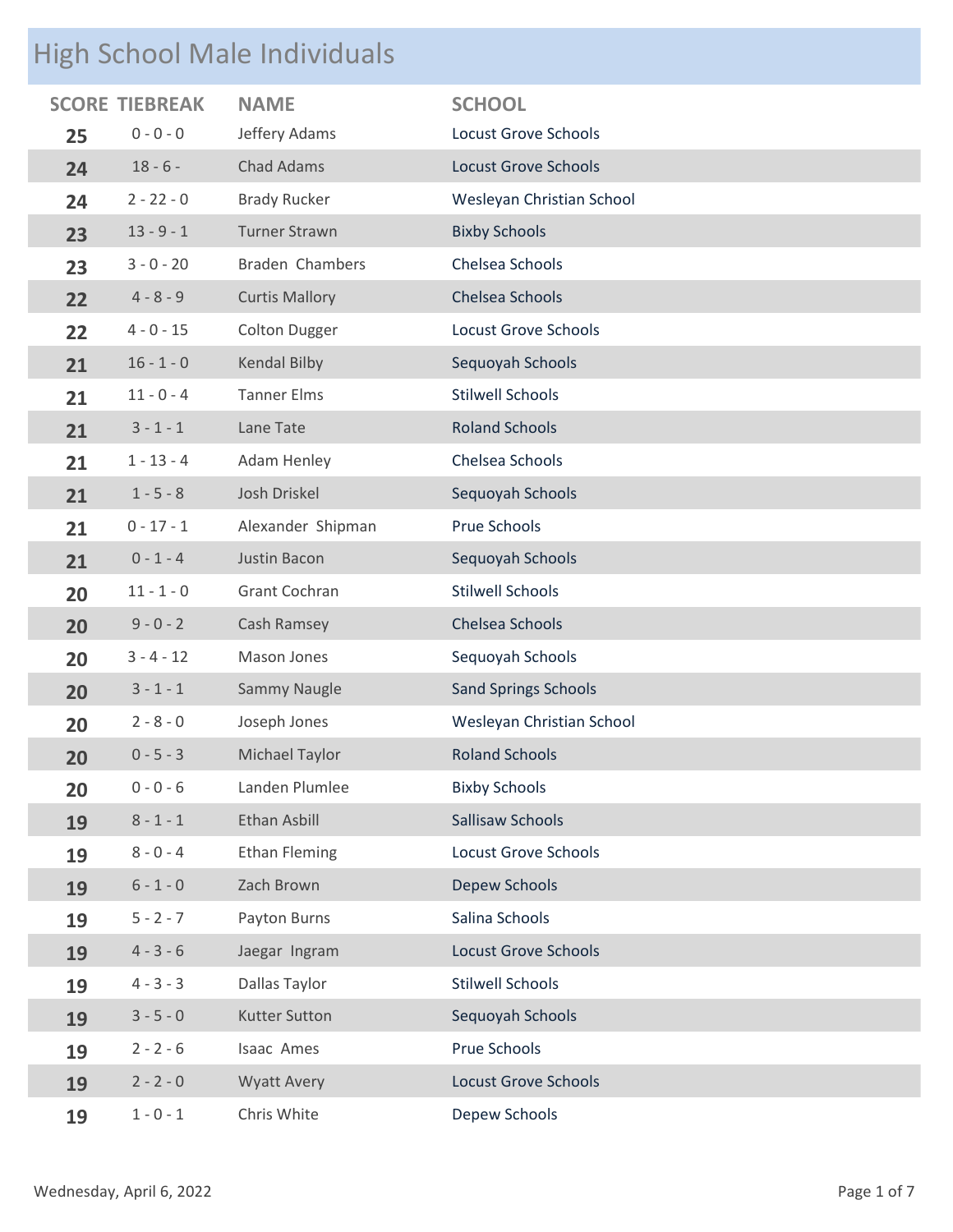## High School Male Individuals

|    |              | <b>NAME</b>           | <b>SCHOOL</b>               |
|----|--------------|-----------------------|-----------------------------|
| 25 | $0 - 0 - 0$  | Jeffery Adams         | <b>Locust Grove Schools</b> |
| 24 | $18 - 6 -$   | <b>Chad Adams</b>     | <b>Locust Grove Schools</b> |
| 24 | $2 - 22 - 0$ | <b>Brady Rucker</b>   | Wesleyan Christian School   |
| 23 | $13 - 9 - 1$ | <b>Turner Strawn</b>  | <b>Bixby Schools</b>        |
| 23 | $3 - 0 - 20$ | Braden Chambers       | Chelsea Schools             |
| 22 | $4 - 8 - 9$  | <b>Curtis Mallory</b> | Chelsea Schools             |
| 22 | $4 - 0 - 15$ | <b>Colton Dugger</b>  | <b>Locust Grove Schools</b> |
| 21 | $16 - 1 - 0$ | Kendal Bilby          | Sequoyah Schools            |
| 21 | $11 - 0 - 4$ | <b>Tanner Elms</b>    | <b>Stilwell Schools</b>     |
| 21 | $3 - 1 - 1$  | Lane Tate             | <b>Roland Schools</b>       |
| 21 | $1 - 13 - 4$ | Adam Henley           | Chelsea Schools             |
| 21 | $1 - 5 - 8$  | Josh Driskel          | Sequoyah Schools            |
| 21 | $0 - 17 - 1$ | Alexander Shipman     | Prue Schools                |
| 21 | $0 - 1 - 4$  | Justin Bacon          | Sequoyah Schools            |
| 20 | $11 - 1 - 0$ | Grant Cochran         | <b>Stilwell Schools</b>     |
| 20 | $9 - 0 - 2$  | Cash Ramsey           | Chelsea Schools             |
| 20 | $3 - 4 - 12$ | Mason Jones           | Sequoyah Schools            |
| 20 | $3 - 1 - 1$  | Sammy Naugle          | <b>Sand Springs Schools</b> |
| 20 | $2 - 8 - 0$  | Joseph Jones          | Wesleyan Christian School   |
| 20 | $0 - 5 - 3$  | Michael Taylor        | <b>Roland Schools</b>       |
| 20 | $0 - 0 - 6$  | Landen Plumlee        | <b>Bixby Schools</b>        |
| 19 | $8 - 1 - 1$  | Ethan Asbill          | <b>Sallisaw Schools</b>     |
| 19 | $8 - 0 - 4$  | <b>Ethan Fleming</b>  | <b>Locust Grove Schools</b> |
| 19 | $6 - 1 - 0$  | Zach Brown            | Depew Schools               |
| 19 | $5 - 2 - 7$  | Payton Burns          | Salina Schools              |
| 19 | $4 - 3 - 6$  | Jaegar Ingram         | <b>Locust Grove Schools</b> |
| 19 | $4 - 3 - 3$  | Dallas Taylor         | <b>Stilwell Schools</b>     |
| 19 | $3 - 5 - 0$  | <b>Kutter Sutton</b>  | Sequoyah Schools            |
| 19 | $2 - 2 - 6$  | Isaac Ames            | Prue Schools                |
| 19 | $2 - 2 - 0$  | <b>Wyatt Avery</b>    | <b>Locust Grove Schools</b> |
| 19 | $1 - 0 - 1$  | Chris White           | Depew Schools               |
|    |              | <b>SCORE TIEBREAK</b> |                             |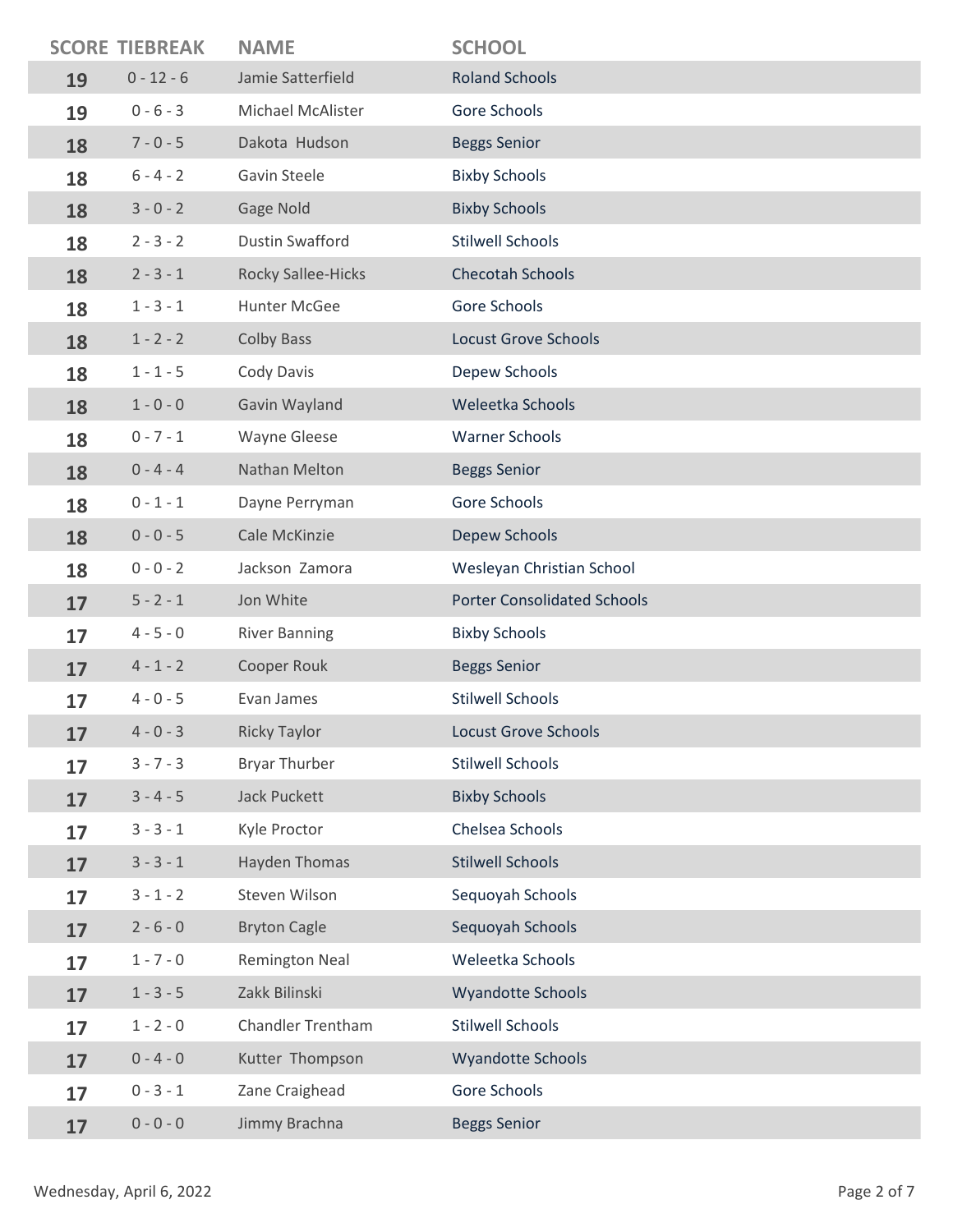|    | <b>SCORE TIEBREAK</b> | <b>NAME</b>               | <b>SCHOOL</b>                      |
|----|-----------------------|---------------------------|------------------------------------|
| 19 | $0 - 12 - 6$          | Jamie Satterfield         | <b>Roland Schools</b>              |
| 19 | $0 - 6 - 3$           | Michael McAlister         | Gore Schools                       |
| 18 | $7 - 0 - 5$           | Dakota Hudson             | <b>Beggs Senior</b>                |
| 18 | $6 - 4 - 2$           | Gavin Steele              | <b>Bixby Schools</b>               |
| 18 | $3 - 0 - 2$           | Gage Nold                 | <b>Bixby Schools</b>               |
| 18 | $2 - 3 - 2$           | <b>Dustin Swafford</b>    | <b>Stilwell Schools</b>            |
| 18 | $2 - 3 - 1$           | <b>Rocky Sallee-Hicks</b> | <b>Checotah Schools</b>            |
| 18 | $1 - 3 - 1$           | Hunter McGee              | Gore Schools                       |
| 18 | $1 - 2 - 2$           | <b>Colby Bass</b>         | <b>Locust Grove Schools</b>        |
| 18 | $1 - 1 - 5$           | Cody Davis                | Depew Schools                      |
| 18 | $1 - 0 - 0$           | Gavin Wayland             | Weleetka Schools                   |
| 18 | $0 - 7 - 1$           | <b>Wayne Gleese</b>       | <b>Warner Schools</b>              |
| 18 | $0 - 4 - 4$           | Nathan Melton             | <b>Beggs Senior</b>                |
| 18 | $0 - 1 - 1$           | Dayne Perryman            | Gore Schools                       |
| 18 | $0 - 0 - 5$           | Cale McKinzie             | Depew Schools                      |
| 18 | $0 - 0 - 2$           | Jackson Zamora            | Wesleyan Christian School          |
| 17 | $5 - 2 - 1$           | Jon White                 | <b>Porter Consolidated Schools</b> |
| 17 | $4 - 5 - 0$           | <b>River Banning</b>      | <b>Bixby Schools</b>               |
|    |                       |                           |                                    |
| 17 | $4 - 1 - 2$           | Cooper Rouk               | <b>Beggs Senior</b>                |
| 17 | $4 - 0 - 5$           | Evan James                | <b>Stilwell Schools</b>            |
| 17 | $4 - 0 - 3$           | <b>Ricky Taylor</b>       | Locust Grove Schools               |
| 17 | $3 - 7 - 3$           | <b>Bryar Thurber</b>      | <b>Stilwell Schools</b>            |
| 17 | $3 - 4 - 5$           | <b>Jack Puckett</b>       | <b>Bixby Schools</b>               |
| 17 | $3 - 3 - 1$           | Kyle Proctor              | Chelsea Schools                    |
| 17 | $3 - 3 - 1$           | Hayden Thomas             | <b>Stilwell Schools</b>            |
| 17 | $3 - 1 - 2$           | Steven Wilson             | Sequoyah Schools                   |
| 17 | $2 - 6 - 0$           | <b>Bryton Cagle</b>       | Sequoyah Schools                   |
| 17 | $1 - 7 - 0$           | Remington Neal            | Weleetka Schools                   |
| 17 | $1 - 3 - 5$           | Zakk Bilinski             | <b>Wyandotte Schools</b>           |
| 17 | $1 - 2 - 0$           | Chandler Trentham         | <b>Stilwell Schools</b>            |
| 17 | $0 - 4 - 0$           | Kutter Thompson           | <b>Wyandotte Schools</b>           |
| 17 | $0 - 3 - 1$           | Zane Craighead            | Gore Schools                       |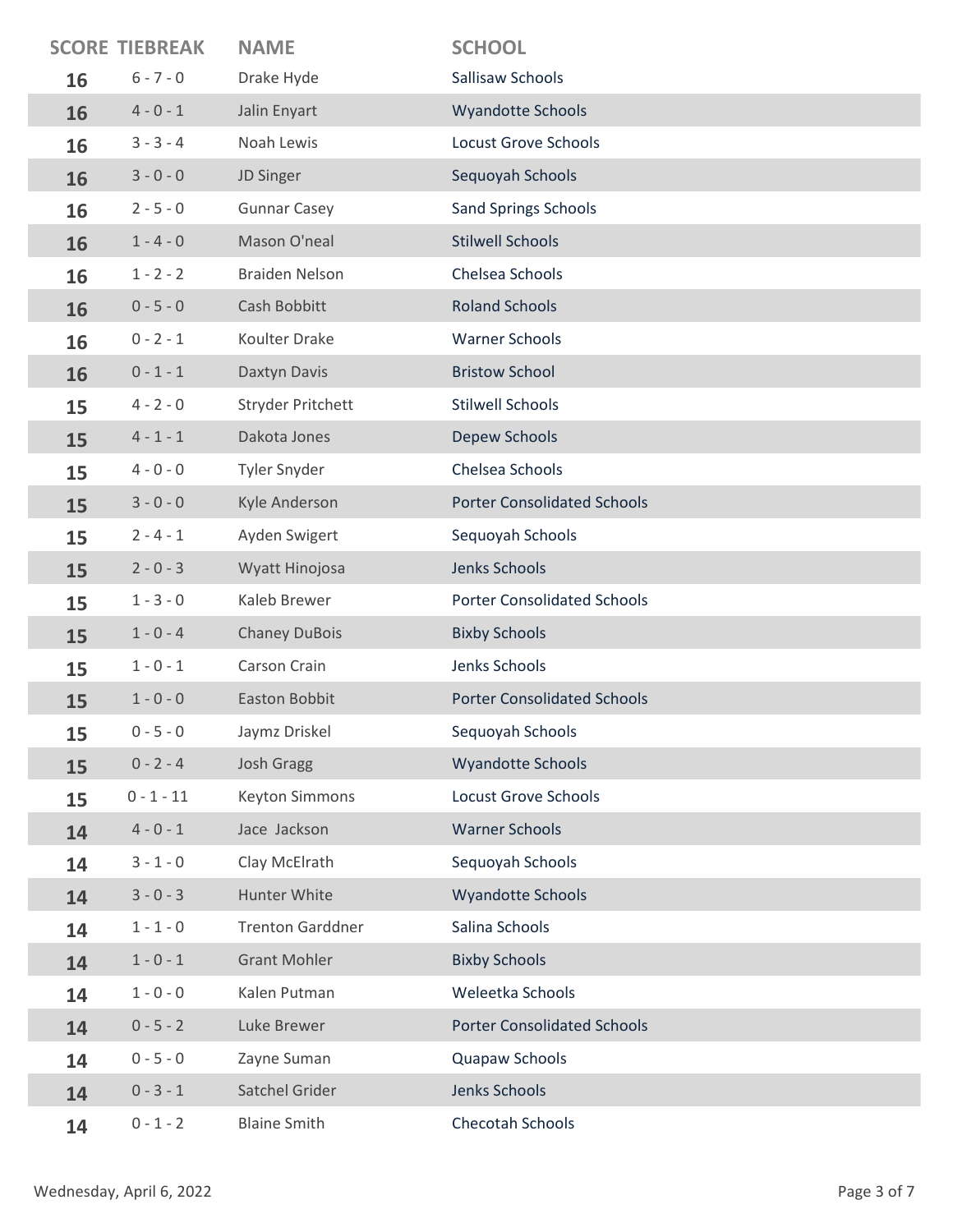|    | <b>SCORE TIEBREAK</b> | <b>NAME</b>             | <b>SCHOOL</b>                      |
|----|-----------------------|-------------------------|------------------------------------|
| 16 | $6 - 7 - 0$           | Drake Hyde              | Sallisaw Schools                   |
| 16 | $4 - 0 - 1$           | Jalin Enyart            | <b>Wyandotte Schools</b>           |
| 16 | $3 - 3 - 4$           | Noah Lewis              | <b>Locust Grove Schools</b>        |
| 16 | $3 - 0 - 0$           | JD Singer               | Sequoyah Schools                   |
| 16 | $2 - 5 - 0$           | <b>Gunnar Casey</b>     | <b>Sand Springs Schools</b>        |
| 16 | $1 - 4 - 0$           | Mason O'neal            | <b>Stilwell Schools</b>            |
| 16 | $1 - 2 - 2$           | <b>Braiden Nelson</b>   | Chelsea Schools                    |
| 16 | $0 - 5 - 0$           | Cash Bobbitt            | <b>Roland Schools</b>              |
| 16 | $0 - 2 - 1$           | Koulter Drake           | <b>Warner Schools</b>              |
| 16 | $0 - 1 - 1$           | Daxtyn Davis            | <b>Bristow School</b>              |
| 15 | $4 - 2 - 0$           | Stryder Pritchett       | <b>Stilwell Schools</b>            |
| 15 | $4 - 1 - 1$           | Dakota Jones            | Depew Schools                      |
| 15 | $4 - 0 - 0$           | Tyler Snyder            | Chelsea Schools                    |
| 15 | $3 - 0 - 0$           | Kyle Anderson           | <b>Porter Consolidated Schools</b> |
| 15 | $2 - 4 - 1$           | Ayden Swigert           | Sequoyah Schools                   |
| 15 | $2 - 0 - 3$           | Wyatt Hinojosa          | Jenks Schools                      |
| 15 | $1 - 3 - 0$           | Kaleb Brewer            | <b>Porter Consolidated Schools</b> |
| 15 | $1 - 0 - 4$           | <b>Chaney DuBois</b>    | <b>Bixby Schools</b>               |
| 15 | $1 - 0 - 1$           | Carson Crain            | Jenks Schools                      |
| 15 | $1 - 0 - 0$           | Easton Bobbit           | <b>Porter Consolidated Schools</b> |
| 15 | $0 - 5 - 0$           | Jaymz Driskel           | Sequoyah Schools                   |
| 15 | $0 - 2 - 4$           | <b>Josh Gragg</b>       | <b>Wyandotte Schools</b>           |
| 15 | $0 - 1 - 11$          | <b>Keyton Simmons</b>   | <b>Locust Grove Schools</b>        |
| 14 | $4 - 0 - 1$           | Jace Jackson            | <b>Warner Schools</b>              |
| 14 | $3 - 1 - 0$           | Clay McElrath           | Sequoyah Schools                   |
| 14 | $3 - 0 - 3$           | Hunter White            | <b>Wyandotte Schools</b>           |
| 14 | $1 - 1 - 0$           | <b>Trenton Garddner</b> | Salina Schools                     |
| 14 | $1 - 0 - 1$           | <b>Grant Mohler</b>     | <b>Bixby Schools</b>               |
| 14 | $1 - 0 - 0$           | Kalen Putman            | Weleetka Schools                   |
| 14 | $0 - 5 - 2$           | Luke Brewer             | <b>Porter Consolidated Schools</b> |
| 14 | $0 - 5 - 0$           | Zayne Suman             | Quapaw Schools                     |
| 14 | $0 - 3 - 1$           | Satchel Grider          | Jenks Schools                      |
| 14 | $0 - 1 - 2$           | <b>Blaine Smith</b>     | Checotah Schools                   |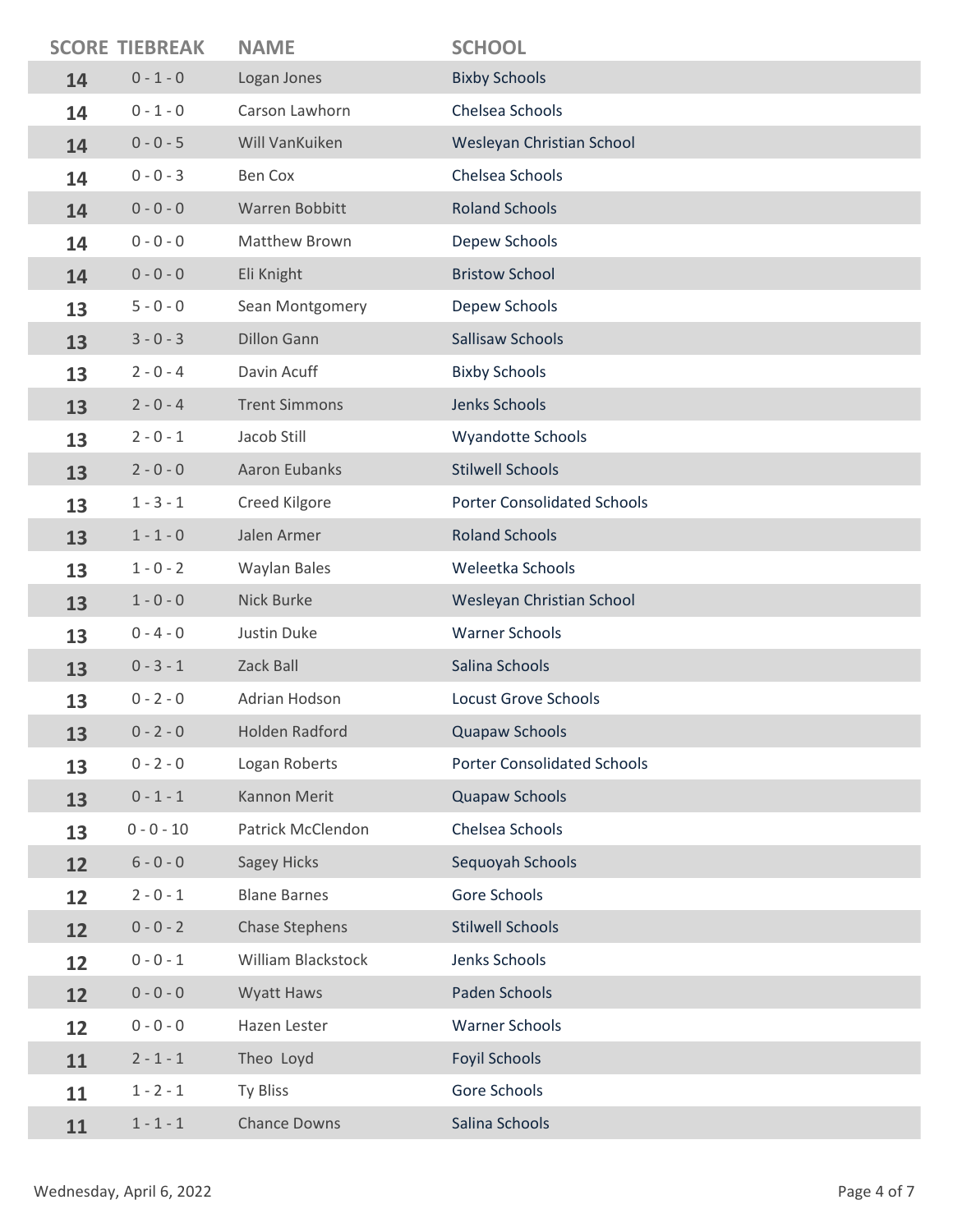|    | <b>SCORE TIEBREAK</b> | <b>NAME</b>           | <b>SCHOOL</b>                      |
|----|-----------------------|-----------------------|------------------------------------|
| 14 | $0 - 1 - 0$           | Logan Jones           | <b>Bixby Schools</b>               |
| 14 | $0 - 1 - 0$           | Carson Lawhorn        | Chelsea Schools                    |
| 14 | $0 - 0 - 5$           | Will VanKuiken        | Wesleyan Christian School          |
| 14 | $0 - 0 - 3$           | <b>Ben Cox</b>        | Chelsea Schools                    |
| 14 | $0 - 0 - 0$           | Warren Bobbitt        | <b>Roland Schools</b>              |
| 14 | $0 - 0 - 0$           | Matthew Brown         | Depew Schools                      |
| 14 | $0 - 0 - 0$           | Eli Knight            | <b>Bristow School</b>              |
| 13 | $5 - 0 - 0$           | Sean Montgomery       | Depew Schools                      |
| 13 | $3 - 0 - 3$           | <b>Dillon Gann</b>    | Sallisaw Schools                   |
| 13 | $2 - 0 - 4$           | Davin Acuff           | <b>Bixby Schools</b>               |
| 13 | $2 - 0 - 4$           | <b>Trent Simmons</b>  | Jenks Schools                      |
| 13 | $2 - 0 - 1$           | Jacob Still           | <b>Wyandotte Schools</b>           |
| 13 | $2 - 0 - 0$           | Aaron Eubanks         | <b>Stilwell Schools</b>            |
| 13 | $1 - 3 - 1$           | Creed Kilgore         | <b>Porter Consolidated Schools</b> |
| 13 | $1 - 1 - 0$           | Jalen Armer           | <b>Roland Schools</b>              |
| 13 | $1 - 0 - 2$           | <b>Waylan Bales</b>   | Weleetka Schools                   |
| 13 | $1 - 0 - 0$           | Nick Burke            | Wesleyan Christian School          |
| 13 | $0 - 4 - 0$           | Justin Duke           | <b>Warner Schools</b>              |
| 13 | $0 - 3 - 1$           | Zack Ball             | Salina Schools                     |
| 13 | $0 - 2 - 0$           | Adrian Hodson         | <b>Locust Grove Schools</b>        |
| 13 | $0 - 2 - 0$           | Holden Radford        | <b>Quapaw Schools</b>              |
| 13 | $0 - 2 - 0$           | Logan Roberts         | <b>Porter Consolidated Schools</b> |
| 13 | $0 - 1 - 1$           | Kannon Merit          | Quapaw Schools                     |
| 13 | $0 - 0 - 10$          | Patrick McClendon     | Chelsea Schools                    |
| 12 | $6 - 0 - 0$           | <b>Sagey Hicks</b>    | Sequoyah Schools                   |
| 12 | $2 - 0 - 1$           | <b>Blane Barnes</b>   | Gore Schools                       |
| 12 | $0 - 0 - 2$           | <b>Chase Stephens</b> | <b>Stilwell Schools</b>            |
| 12 | $0 - 0 - 1$           | William Blackstock    | Jenks Schools                      |
| 12 | $0 - 0 - 0$           | Wyatt Haws            | Paden Schools                      |
| 12 | $0 - 0 - 0$           | Hazen Lester          | <b>Warner Schools</b>              |
| 11 | $2 - 1 - 1$           | Theo Loyd             | <b>Foyil Schools</b>               |
| 11 | $1 - 2 - 1$           | Ty Bliss              | Gore Schools                       |
| 11 | $1 - 1 - 1$           | <b>Chance Downs</b>   | Salina Schools                     |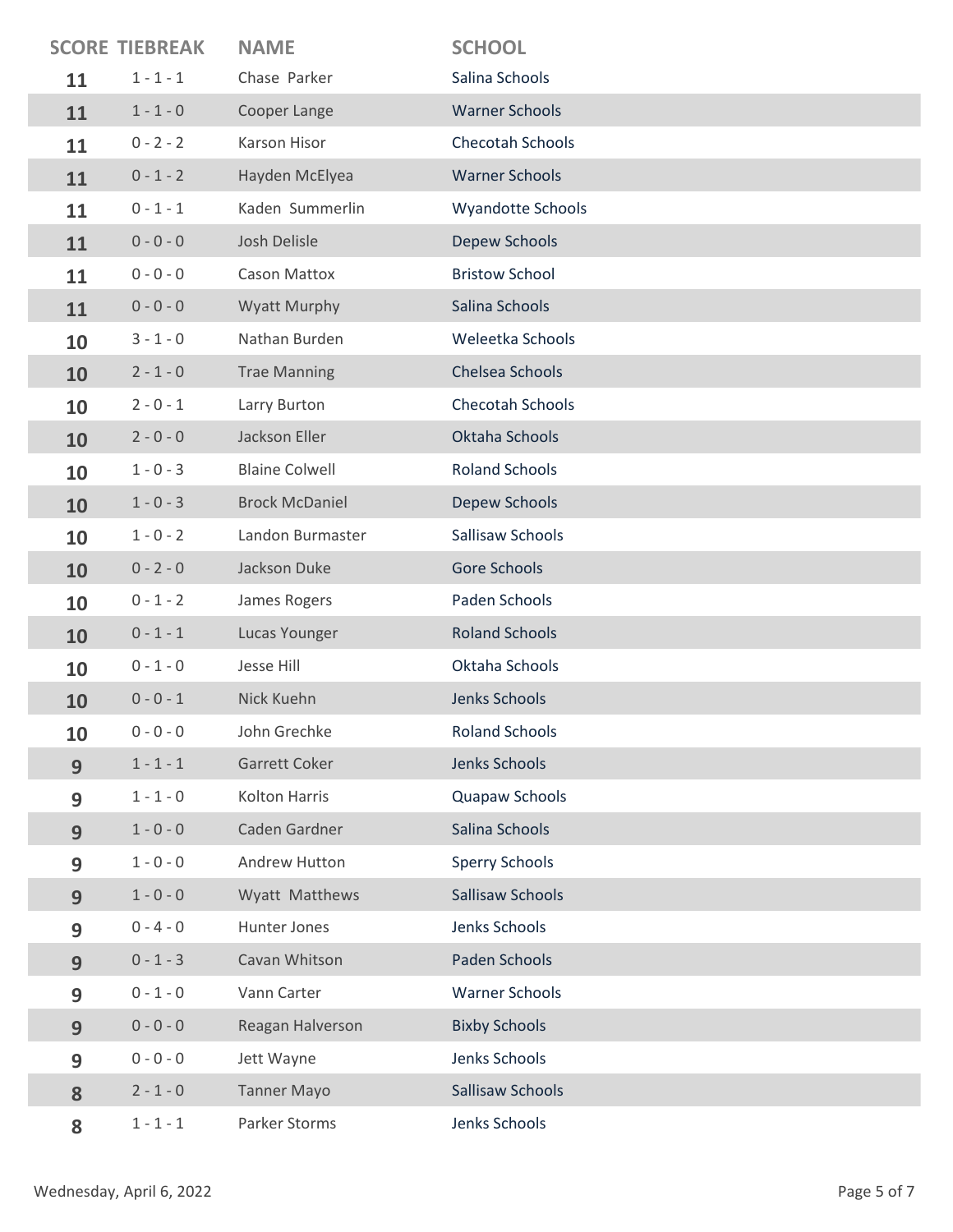|    | <b>SCORE TIEBREAK</b> | <b>NAME</b>           | <b>SCHOOL</b>           |
|----|-----------------------|-----------------------|-------------------------|
| 11 | $1 - 1 - 1$           | Chase Parker          | Salina Schools          |
| 11 | $1 - 1 - 0$           | Cooper Lange          | <b>Warner Schools</b>   |
| 11 | $0 - 2 - 2$           | Karson Hisor          | <b>Checotah Schools</b> |
| 11 | $0 - 1 - 2$           | Hayden McElyea        | <b>Warner Schools</b>   |
| 11 | $0 - 1 - 1$           | Kaden Summerlin       | Wyandotte Schools       |
| 11 | $0 - 0 - 0$           | Josh Delisle          | Depew Schools           |
| 11 | $0 - 0 - 0$           | <b>Cason Mattox</b>   | <b>Bristow School</b>   |
| 11 | $0 - 0 - 0$           | <b>Wyatt Murphy</b>   | Salina Schools          |
| 10 | $3 - 1 - 0$           | Nathan Burden         | Weleetka Schools        |
| 10 | $2 - 1 - 0$           | <b>Trae Manning</b>   | Chelsea Schools         |
| 10 | $2 - 0 - 1$           | Larry Burton          | <b>Checotah Schools</b> |
| 10 | $2 - 0 - 0$           | Jackson Eller         | Oktaha Schools          |
| 10 | $1 - 0 - 3$           | <b>Blaine Colwell</b> | <b>Roland Schools</b>   |
| 10 | $1 - 0 - 3$           | <b>Brock McDaniel</b> | Depew Schools           |
| 10 | $1 - 0 - 2$           | Landon Burmaster      | Sallisaw Schools        |
| 10 | $0 - 2 - 0$           | Jackson Duke          | <b>Gore Schools</b>     |
| 10 | $0 - 1 - 2$           | James Rogers          | Paden Schools           |
| 10 | $0 - 1 - 1$           | Lucas Younger         | <b>Roland Schools</b>   |
| 10 | $0 - 1 - 0$           | Jesse Hill            | Oktaha Schools          |
| 10 | $0 - 0 - 1$           | Nick Kuehn            | Jenks Schools           |
| 10 | $0 - 0 - 0$           | John Grechke          | <b>Roland Schools</b>   |
| 9  | $1 - 1 - 1$           | Garrett Coker         | Jenks Schools           |
| 9  | $1 - 1 - 0$           | <b>Kolton Harris</b>  | Quapaw Schools          |
| 9  | $1 - 0 - 0$           | Caden Gardner         | Salina Schools          |
| 9  | $1 - 0 - 0$           | Andrew Hutton         | <b>Sperry Schools</b>   |
| 9  | $1 - 0 - 0$           | Wyatt Matthews        | Sallisaw Schools        |
| 9  | $0 - 4 - 0$           | Hunter Jones          | Jenks Schools           |
| 9  | $0 - 1 - 3$           | Cavan Whitson         | Paden Schools           |
| 9  | $0 - 1 - 0$           | Vann Carter           | <b>Warner Schools</b>   |
| 9  | $0 - 0 - 0$           | Reagan Halverson      | <b>Bixby Schools</b>    |
| 9  | $0 - 0 - 0$           | Jett Wayne            | Jenks Schools           |
| 8  | $2 - 1 - 0$           | <b>Tanner Mayo</b>    | Sallisaw Schools        |
| 8  | $1 - 1 - 1$           | Parker Storms         | Jenks Schools           |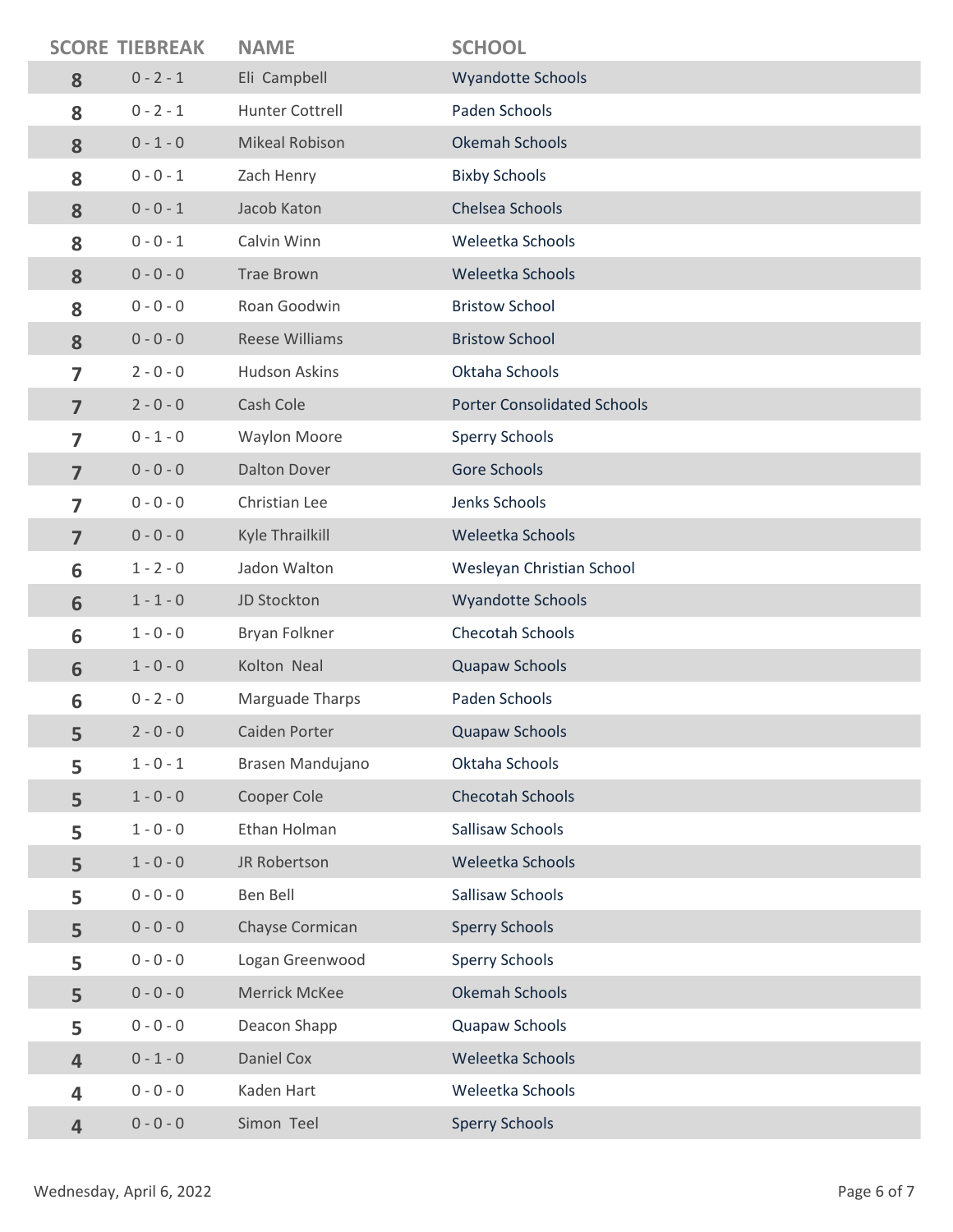|                         | <b>SCORE TIEBREAK</b> | <b>NAME</b>           | <b>SCHOOL</b>                      |
|-------------------------|-----------------------|-----------------------|------------------------------------|
| 8                       | $0 - 2 - 1$           | Eli Campbell          | <b>Wyandotte Schools</b>           |
| 8                       | $0 - 2 - 1$           | Hunter Cottrell       | Paden Schools                      |
| 8                       | $0 - 1 - 0$           | <b>Mikeal Robison</b> | <b>Okemah Schools</b>              |
| 8                       | $0 - 0 - 1$           | Zach Henry            | <b>Bixby Schools</b>               |
| 8                       | $0 - 0 - 1$           | Jacob Katon           | Chelsea Schools                    |
| 8                       | $0 - 0 - 1$           | Calvin Winn           | Weleetka Schools                   |
| 8                       | $0 - 0 - 0$           | <b>Trae Brown</b>     | Weleetka Schools                   |
| 8                       | $0 - 0 - 0$           | Roan Goodwin          | <b>Bristow School</b>              |
| 8                       | $0 - 0 - 0$           | <b>Reese Williams</b> | <b>Bristow School</b>              |
| $\overline{7}$          | $2 - 0 - 0$           | <b>Hudson Askins</b>  | Oktaha Schools                     |
| $\overline{7}$          | $2 - 0 - 0$           | Cash Cole             | <b>Porter Consolidated Schools</b> |
| $\overline{7}$          | $0 - 1 - 0$           | <b>Waylon Moore</b>   | <b>Sperry Schools</b>              |
| $\overline{7}$          | $0 - 0 - 0$           | <b>Dalton Dover</b>   | Gore Schools                       |
| 7                       | $0 - 0 - 0$           | Christian Lee         | Jenks Schools                      |
| $\overline{7}$          | $0 - 0 - 0$           | Kyle Thrailkill       | Weleetka Schools                   |
| 6                       | $1 - 2 - 0$           | Jadon Walton          | Wesleyan Christian School          |
| 6                       | $1 - 1 - 0$           | JD Stockton           | <b>Wyandotte Schools</b>           |
| 6                       | $1 - 0 - 0$           | Bryan Folkner         | Checotah Schools                   |
| 6                       | $1 - 0 - 0$           | Kolton Neal           | Quapaw Schools                     |
| 6                       | $0 - 2 - 0$           | Marguade Tharps       | Paden Schools                      |
| 5                       | $2 - 0 - 0$           | Caiden Porter         | Quapaw Schools                     |
| 5                       | $1 - 0 - 1$           | Brasen Mandujano      | Oktaha Schools                     |
| 5                       | $1 - 0 - 0$           | Cooper Cole           | <b>Checotah Schools</b>            |
| 5                       | $1 - 0 - 0$           | Ethan Holman          | Sallisaw Schools                   |
| 5                       | $1 - 0 - 0$           | JR Robertson          | Weleetka Schools                   |
| 5                       | $0 - 0 - 0$           | Ben Bell              | Sallisaw Schools                   |
| 5                       | $0 - 0 - 0$           | Chayse Cormican       | <b>Sperry Schools</b>              |
| 5                       | $0 - 0 - 0$           | Logan Greenwood       | <b>Sperry Schools</b>              |
| 5                       | $0 - 0 - 0$           | Merrick McKee         | Okemah Schools                     |
| 5                       | $0 - 0 - 0$           | Deacon Shapp          | Quapaw Schools                     |
| $\overline{4}$          | $0 - 1 - 0$           | Daniel Cox            | Weleetka Schools                   |
| 4                       | $0 - 0 - 0$           | Kaden Hart            | Weleetka Schools                   |
| $\overline{\mathbf{4}}$ | $0 - 0 - 0$           | Simon Teel            | <b>Sperry Schools</b>              |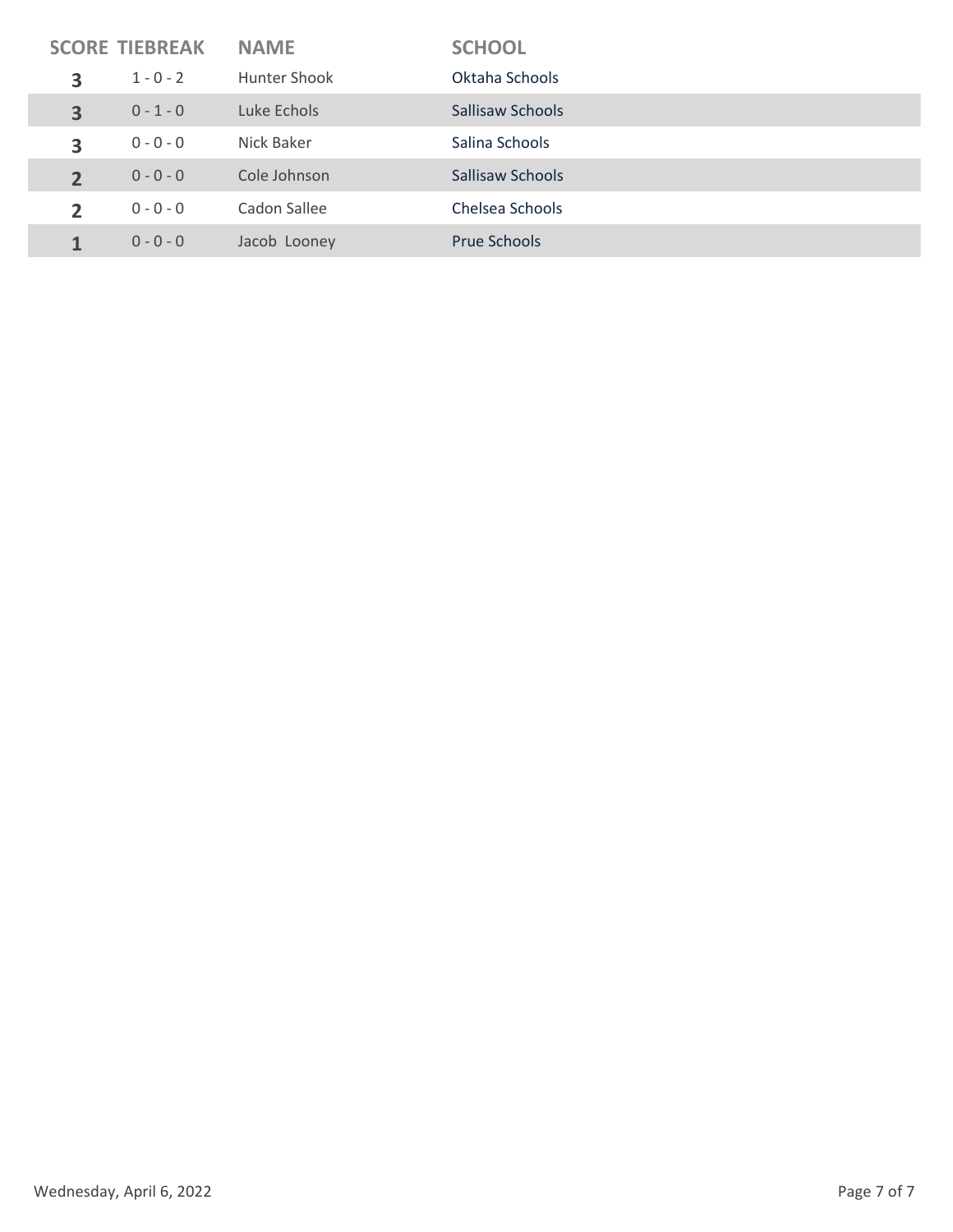| <b>SCORE TIEBREAK</b> |             | <b>NAME</b>  | <b>SCHOOL</b>    |
|-----------------------|-------------|--------------|------------------|
| 3                     | $1 - 0 - 2$ | Hunter Shook | Oktaha Schools   |
| 3                     | $0 - 1 - 0$ | Luke Echols  | Sallisaw Schools |
| 3                     | $0 - 0 - 0$ | Nick Baker   | Salina Schools   |
| $\overline{2}$        | $0 - 0 - 0$ | Cole Johnson | Sallisaw Schools |
| $\overline{2}$        | $0 - 0 - 0$ | Cadon Sallee | Chelsea Schools  |
|                       | $0 - 0 - 0$ | Jacob Looney | Prue Schools     |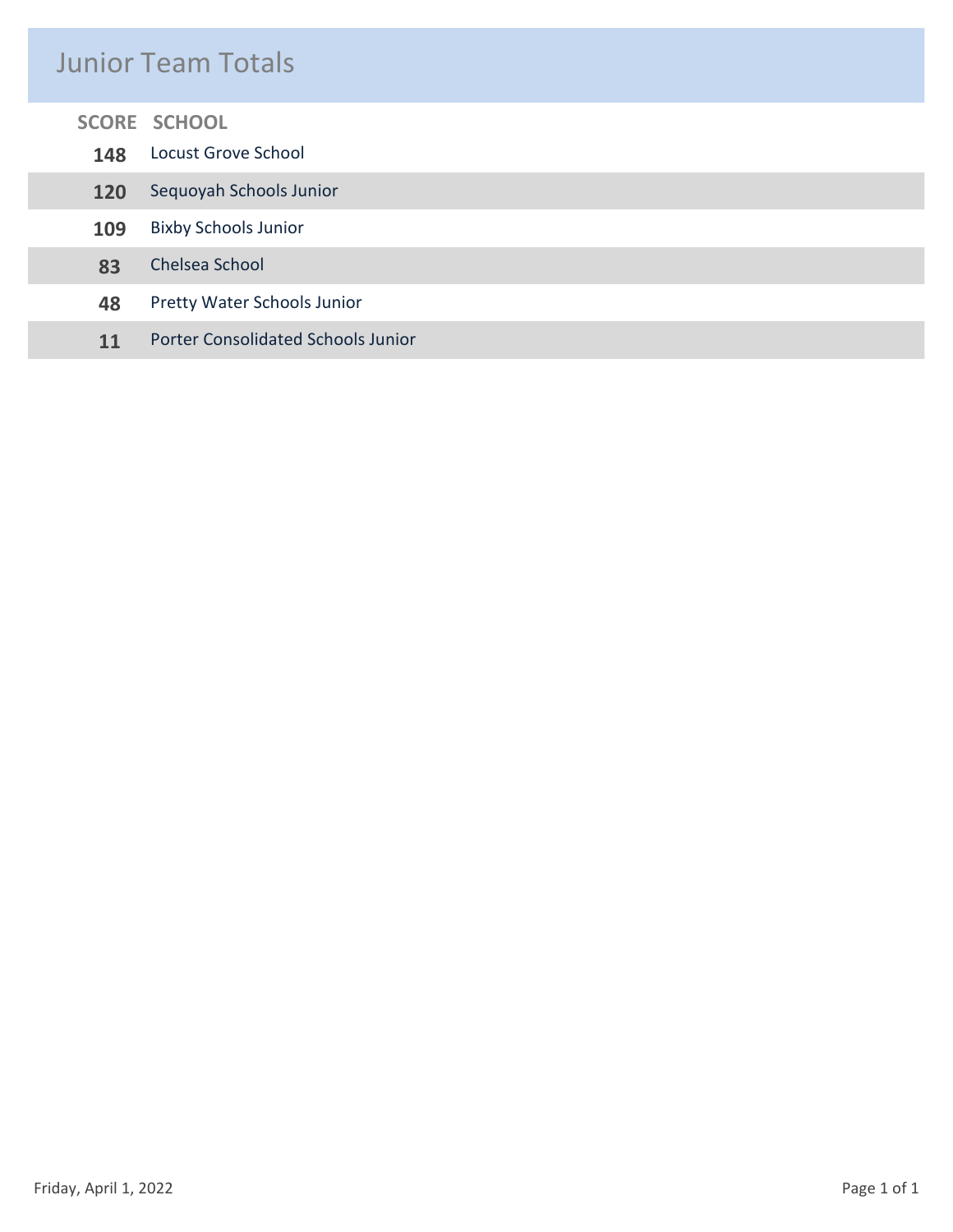### Junior Team Totals

| <b>SCORE SCHOOL</b>                             |  |  |  |
|-------------------------------------------------|--|--|--|
| <b>Locust Grove School</b>                      |  |  |  |
| Sequoyah Schools Junior                         |  |  |  |
| <b>Bixby Schools Junior</b><br>109              |  |  |  |
| Chelsea School                                  |  |  |  |
| Pretty Water Schools Junior<br>48               |  |  |  |
| <b>Porter Consolidated Schools Junior</b><br>11 |  |  |  |
|                                                 |  |  |  |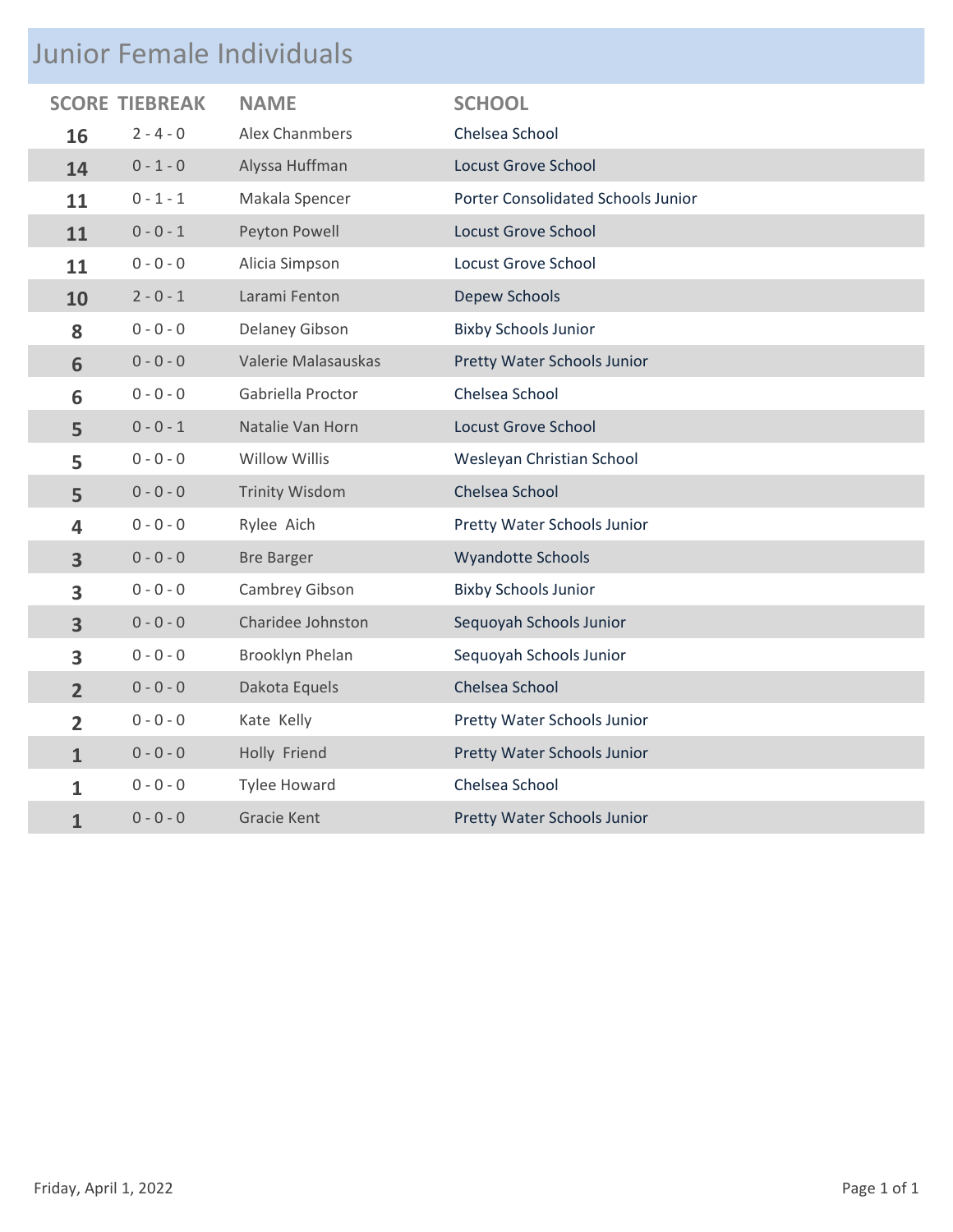# Junior Female Individuals

| <b>SCORE</b>            | <b>TIEBREAK</b> | <b>NAME</b>            | <b>SCHOOL</b>                      |  |  |
|-------------------------|-----------------|------------------------|------------------------------------|--|--|
| 16                      | $2 - 4 - 0$     | Alex Chanmbers         | Chelsea School                     |  |  |
| 14                      | $0 - 1 - 0$     | Alyssa Huffman         | <b>Locust Grove School</b>         |  |  |
| 11                      | $0 - 1 - 1$     | Makala Spencer         | Porter Consolidated Schools Junior |  |  |
| 11                      | $0 - 0 - 1$     | Peyton Powell          | <b>Locust Grove School</b>         |  |  |
| 11                      | $0 - 0 - 0$     | Alicia Simpson         | <b>Locust Grove School</b>         |  |  |
| 10                      | $2 - 0 - 1$     | Larami Fenton          | <b>Depew Schools</b>               |  |  |
| 8                       | $0 - 0 - 0$     | Delaney Gibson         | <b>Bixby Schools Junior</b>        |  |  |
| 6                       | $0 - 0 - 0$     | Valerie Malasauskas    | Pretty Water Schools Junior        |  |  |
| 6                       | $0 - 0 - 0$     | Gabriella Proctor      | Chelsea School                     |  |  |
| 5                       | $0 - 0 - 1$     | Natalie Van Horn       | <b>Locust Grove School</b>         |  |  |
| 5                       | $0 - 0 - 0$     | <b>Willow Willis</b>   | Wesleyan Christian School          |  |  |
| 5                       | $0 - 0 - 0$     | <b>Trinity Wisdom</b>  | Chelsea School                     |  |  |
| 4                       | $0 - 0 - 0$     | Rylee Aich             | Pretty Water Schools Junior        |  |  |
| $\overline{\mathbf{3}}$ | $0 - 0 - 0$     | <b>Bre Barger</b>      | Wyandotte Schools                  |  |  |
| 3                       | $0 - 0 - 0$     | Cambrey Gibson         | <b>Bixby Schools Junior</b>        |  |  |
| $\overline{\mathbf{3}}$ | $0 - 0 - 0$     | Charidee Johnston      | Sequoyah Schools Junior            |  |  |
| 3                       | $0 - 0 - 0$     | <b>Brooklyn Phelan</b> | Sequoyah Schools Junior            |  |  |
| $\overline{2}$          | $0 - 0 - 0$     | Dakota Equels          | Chelsea School                     |  |  |
| $\overline{2}$          | $0 - 0 - 0$     | Kate Kelly             | Pretty Water Schools Junior        |  |  |
| $\mathbf{1}$            | $0 - 0 - 0$     | Holly Friend           | Pretty Water Schools Junior        |  |  |
| 1                       | $0 - 0 - 0$     | <b>Tylee Howard</b>    | Chelsea School                     |  |  |
| $\mathbf{1}$            | $0 - 0 - 0$     | <b>Gracie Kent</b>     | Pretty Water Schools Junior        |  |  |
|                         |                 |                        |                                    |  |  |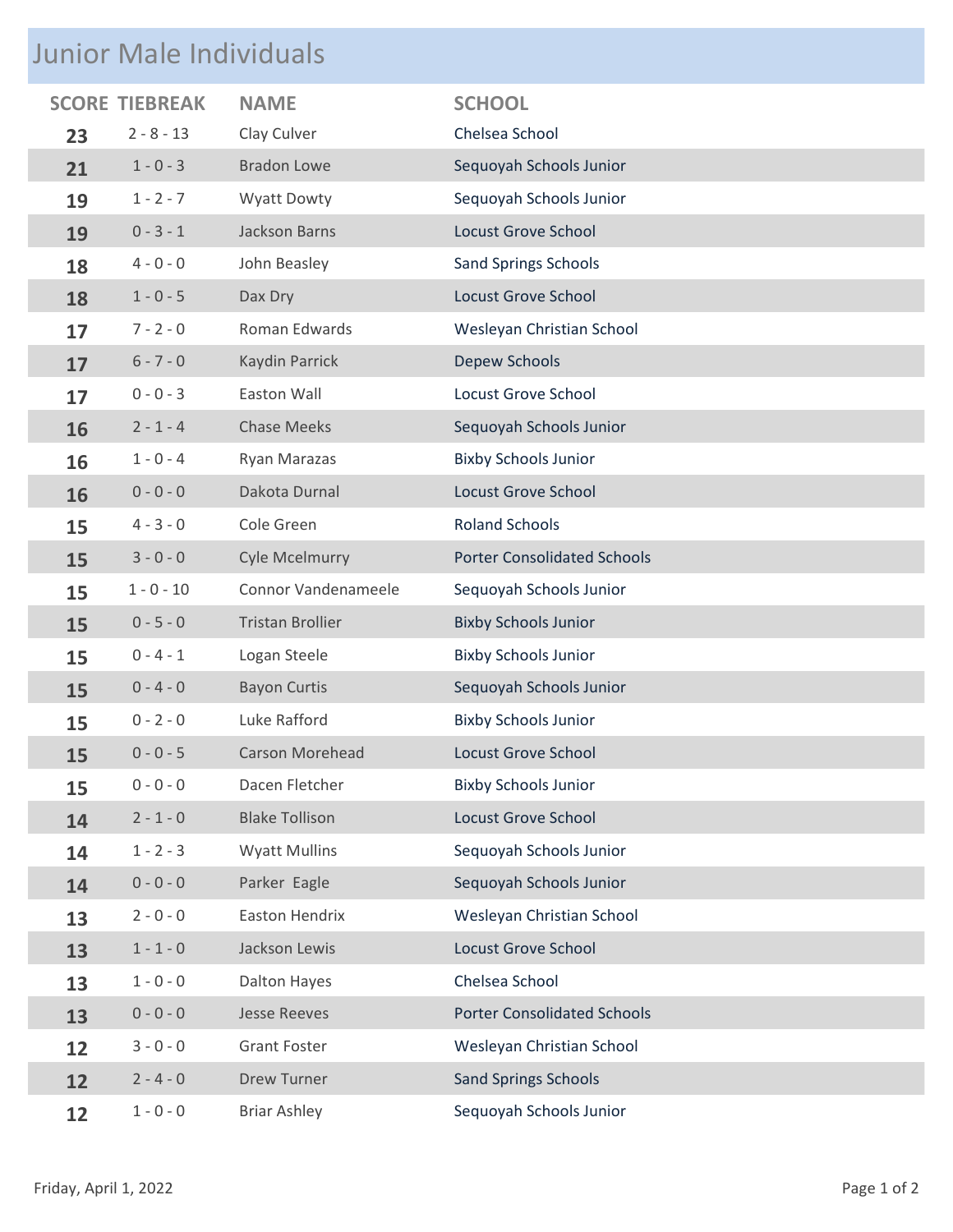# Junior Male Individuals

| <b>SCORE</b> |              | <b>NAME</b>             | <b>SCHOOL</b>                      |
|--------------|--------------|-------------------------|------------------------------------|
| 23           | $2 - 8 - 13$ | Clay Culver             | Chelsea School                     |
| 21           | $1 - 0 - 3$  | <b>Bradon Lowe</b>      | Sequoyah Schools Junior            |
| 19           | $1 - 2 - 7$  | <b>Wyatt Dowty</b>      | Sequoyah Schools Junior            |
| 19           | $0 - 3 - 1$  | <b>Jackson Barns</b>    | <b>Locust Grove School</b>         |
| 18           | $4 - 0 - 0$  | John Beasley            | <b>Sand Springs Schools</b>        |
| 18           | $1 - 0 - 5$  | Dax Dry                 | <b>Locust Grove School</b>         |
| 17           | $7 - 2 - 0$  | Roman Edwards           | Wesleyan Christian School          |
| 17           | $6 - 7 - 0$  | Kaydin Parrick          | Depew Schools                      |
| 17           | $0 - 0 - 3$  | Easton Wall             | <b>Locust Grove School</b>         |
| 16           | $2 - 1 - 4$  | <b>Chase Meeks</b>      | Sequoyah Schools Junior            |
| 16           | $1 - 0 - 4$  | Ryan Marazas            | <b>Bixby Schools Junior</b>        |
| 16           | $0 - 0 - 0$  | Dakota Durnal           | <b>Locust Grove School</b>         |
| 15           | $4 - 3 - 0$  | Cole Green              | <b>Roland Schools</b>              |
| 15           | $3 - 0 - 0$  | <b>Cyle Mcelmurry</b>   | <b>Porter Consolidated Schools</b> |
| 15           | $1 - 0 - 10$ | Connor Vandenameele     | Sequoyah Schools Junior            |
| 15           | $0 - 5 - 0$  | <b>Tristan Brollier</b> | <b>Bixby Schools Junior</b>        |
| 15           | $0 - 4 - 1$  | Logan Steele            | <b>Bixby Schools Junior</b>        |
| 15           | $0 - 4 - 0$  | <b>Bayon Curtis</b>     | Sequoyah Schools Junior            |
| 15           | $0 - 2 - 0$  | Luke Rafford            | <b>Bixby Schools Junior</b>        |
| 15           | $0 - 0 - 5$  | <b>Carson Morehead</b>  | <b>Locust Grove School</b>         |
| 15           | $0 - 0 - 0$  | Dacen Fletcher          | <b>Bixby Schools Junior</b>        |
| 14           | $2 - 1 - 0$  | <b>Blake Tollison</b>   | <b>Locust Grove School</b>         |
| 14           | $1 - 2 - 3$  | <b>Wyatt Mullins</b>    | Sequoyah Schools Junior            |
| 14           | $0 - 0 - 0$  | Parker Eagle            | Sequoyah Schools Junior            |
| 13           | $2 - 0 - 0$  | Easton Hendrix          | Wesleyan Christian School          |
| 13           | $1 - 1 - 0$  | Jackson Lewis           | <b>Locust Grove School</b>         |
| 13           | $1 - 0 - 0$  | <b>Dalton Hayes</b>     | Chelsea School                     |
| 13           | $0 - 0 - 0$  | <b>Jesse Reeves</b>     | <b>Porter Consolidated Schools</b> |
| 12           | $3 - 0 - 0$  | <b>Grant Foster</b>     | Wesleyan Christian School          |
| 12           | $2 - 4 - 0$  | <b>Drew Turner</b>      | <b>Sand Springs Schools</b>        |
| 12           | $1 - 0 - 0$  | <b>Briar Ashley</b>     | Sequoyah Schools Junior            |
|              |              | <b>TIEBREAK</b>         |                                    |